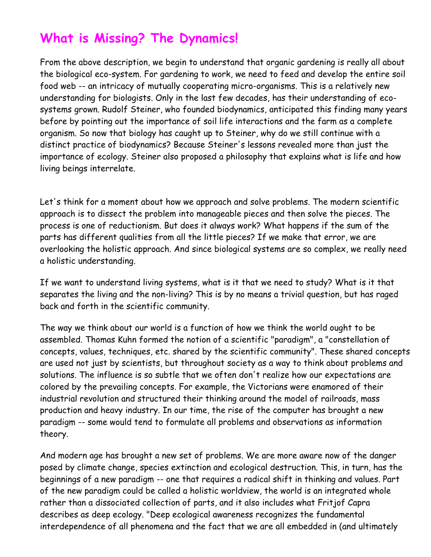# **What is Missing? The Dynamics!**

From the above description, we begin to understand that organic gardening is really all about the biological eco-system. For gardening to work, we need to feed and develop the entire soil food web -- an intricacy of mutually cooperating micro-organisms. This is a relatively new understanding for biologists. Only in the last few decades, has their understanding of ecosystems grown. Rudolf Steiner, who founded biodynamics, anticipated this finding many years before by pointing out the importance of soil life interactions and the farm as a complete organism. So now that biology has caught up to Steiner, why do we still continue with a distinct practice of biodynamics? Because Steiner's lessons revealed more than just the importance of ecology. Steiner also proposed a philosophy that explains what is life and how living beings interrelate.

Let's think for a moment about how we approach and solve problems. The modern scientific approach is to dissect the problem into manageable pieces and then solve the pieces. The process is one of reductionism. But does it always work? What happens if the sum of the parts has different qualities from all the little pieces? If we make that error, we are overlooking the holistic approach. And since biological systems are so complex, we really need a holistic understanding.

If we want to understand living systems, what is it that we need to study? What is it that separates the living and the non-living? This is by no means a trivial question, but has raged back and forth in the scientific community.

The way we think about our world is a function of how we think the world ought to be assembled. Thomas Kuhn formed the notion of a scientific "paradigm", a "constellation of concepts, values, techniques, etc. shared by the scientific community". These shared concepts are used not just by scientists, but throughout society as a way to think about problems and solutions. The influence is so subtle that we often don't realize how our expectations are colored by the prevailing concepts. For example, the Victorians were enamored of their industrial revolution and structured their thinking around the model of railroads, mass production and heavy industry. In our time, the rise of the computer has brought a new paradigm -- some would tend to formulate all problems and observations as information theory.

And modern age has brought a new set of problems. We are more aware now of the danger posed by climate change, species extinction and ecological destruction. This, in turn, has the beginnings of a new paradigm -- one that requires a radical shift in thinking and values. Part of the new paradigm could be called a holistic worldview, the world is an integrated whole rather than a dissociated collection of parts, and it also includes what Fritjof Capra describes as deep ecology. "Deep ecological awareness recognizes the fundamental interdependence of all phenomena and the fact that we are all embedded in (and ultimately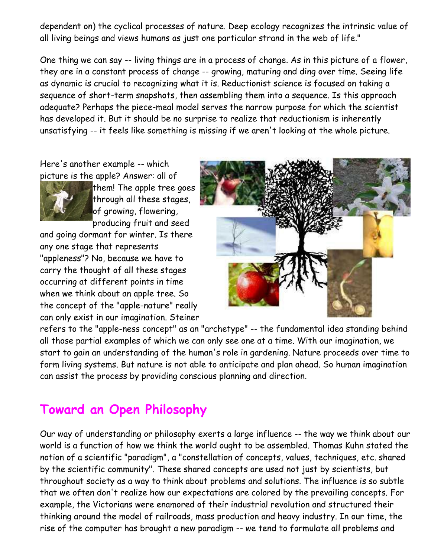dependent on) the cyclical processes of nature. Deep ecology recognizes the intrinsic value of all living beings and views humans as just one particular strand in the web of life."

One thing we can say -- living things are in a process of change. As in this picture of a flower, they are in a constant process of change -- growing, maturing and ding over time. Seeing life as dynamic is crucial to recognizing what it is. Reductionist science is focused on taking a sequence of short-term snapshots, then assembling them into a sequence. Is this approach adequate? Perhaps the piece-meal model serves the narrow purpose for which the scientist has developed it. But it should be no surprise to realize that reductionism is inherently unsatisfying -- it feels like something is missing if we aren't looking at the whole picture.

Here's another example -- which picture is the apple? Answer: all of



them! The apple tree goes through all these stages, of growing, flowering, producing fruit and seed

and going dormant for winter. Is there any one stage that represents "appleness"? No, because we have to carry the thought of all these stages occurring at different points in time when we think about an apple tree. So the concept of the "apple-nature" really can only exist in our imagination. Steiner



refers to the "apple-ness concept" as an "archetype" -- the fundamental idea standing behind all those partial examples of which we can only see one at a time. With our imagination, we start to gain an understanding of the human's role in gardening. Nature proceeds over time to form living systems. But nature is not able to anticipate and plan ahead. So human imagination can assist the process by providing conscious planning and direction.

### **Toward an Open Philosophy**

Our way of understanding or philosophy exerts a large influence -- the way we think about our world is a function of how we think the world ought to be assembled. Thomas Kuhn stated the notion of a scientific "paradigm", a "constellation of concepts, values, techniques, etc. shared by the scientific community". These shared concepts are used not just by scientists, but throughout society as a way to think about problems and solutions. The influence is so subtle that we often don't realize how our expectations are colored by the prevailing concepts. For example, the Victorians were enamored of their industrial revolution and structured their thinking around the model of railroads, mass production and heavy industry. In our time, the rise of the computer has brought a new paradigm -- we tend to formulate all problems and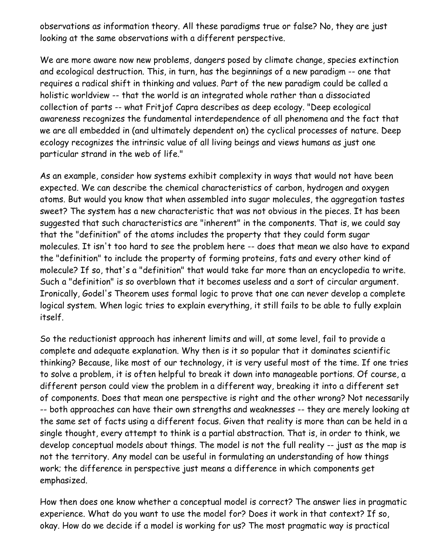observations as information theory. All these paradigms true or false? No, they are just looking at the same observations with a different perspective.

We are more aware now new problems, dangers posed by climate change, species extinction and ecological destruction. This, in turn, has the beginnings of a new paradigm -- one that requires a radical shift in thinking and values. Part of the new paradigm could be called a holistic worldview -- that the world is an integrated whole rather than a dissociated collection of parts -- what Fritjof Capra describes as deep ecology. "Deep ecological awareness recognizes the fundamental interdependence of all phenomena and the fact that we are all embedded in (and ultimately dependent on) the cyclical processes of nature. Deep ecology recognizes the intrinsic value of all living beings and views humans as just one particular strand in the web of life."

As an example, consider how systems exhibit complexity in ways that would not have been expected. We can describe the chemical characteristics of carbon, hydrogen and oxygen atoms. But would you know that when assembled into sugar molecules, the aggregation tastes sweet? The system has a new characteristic that was not obvious in the pieces. It has been suggested that such characteristics are "inherent" in the components. That is, we could say that the "definition" of the atoms includes the property that they could form sugar molecules. It isn't too hard to see the problem here -- does that mean we also have to expand the "definition" to include the property of forming proteins, fats and every other kind of molecule? If so, that's a "definition" that would take far more than an encyclopedia to write. Such a "definition" is so overblown that it becomes useless and a sort of circular argument. Ironically, Godel's Theorem uses formal logic to prove that one can never develop a complete logical system. When logic tries to explain everything, it still fails to be able to fully explain itself.

So the reductionist approach has inherent limits and will, at some level, fail to provide a complete and adequate explanation. Why then is it so popular that it dominates scientific thinking? Because, like most of our technology, it is very useful most of the time. If one tries to solve a problem, it is often helpful to break it down into manageable portions. Of course, a different person could view the problem in a different way, breaking it into a different set of components. Does that mean one perspective is right and the other wrong? Not necessarily -- both approaches can have their own strengths and weaknesses -- they are merely looking at the same set of facts using a different focus. Given that reality is more than can be held in a single thought, every attempt to think is a partial abstraction. That is, in order to think, we develop conceptual models about things. The model is not the full reality -- just as the map is not the territory. Any model can be useful in formulating an understanding of how things work; the difference in perspective just means a difference in which components get emphasized.

How then does one know whether a conceptual model is correct? The answer lies in pragmatic experience. What do you want to use the model for? Does it work in that context? If so, okay. How do we decide if a model is working for us? The most pragmatic way is practical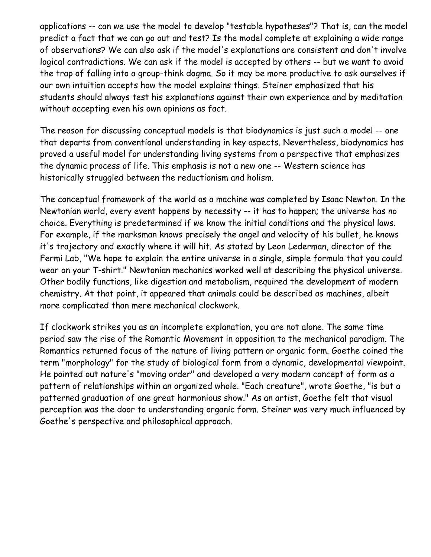applications -- can we use the model to develop "testable hypotheses"? That is, can the model predict a fact that we can go out and test? Is the model complete at explaining a wide range of observations? We can also ask if the model's explanations are consistent and don't involve logical contradictions. We can ask if the model is accepted by others -- but we want to avoid the trap of falling into a group-think dogma. So it may be more productive to ask ourselves if our own intuition accepts how the model explains things. Steiner emphasized that his students should always test his explanations against their own experience and by meditation without accepting even his own opinions as fact.

The reason for discussing conceptual models is that biodynamics is just such a model -- one that departs from conventional understanding in key aspects. Nevertheless, biodynamics has proved a useful model for understanding living systems from a perspective that emphasizes the dynamic process of life. This emphasis is not a new one -- Western science has historically struggled between the reductionism and holism.

The conceptual framework of the world as a machine was completed by Isaac Newton. In the Newtonian world, every event happens by necessity -- it has to happen; the universe has no choice. Everything is predetermined if we know the initial conditions and the physical laws. For example, if the marksman knows precisely the angel and velocity of his bullet, he knows it's trajectory and exactly where it will hit. As stated by Leon Lederman, director of the Fermi Lab, "We hope to explain the entire universe in a single, simple formula that you could wear on your T-shirt." Newtonian mechanics worked well at describing the physical universe. Other bodily functions, like digestion and metabolism, required the development of modern chemistry. At that point, it appeared that animals could be described as machines, albeit more complicated than mere mechanical clockwork.

If clockwork strikes you as an incomplete explanation, you are not alone. The same time period saw the rise of the Romantic Movement in opposition to the mechanical paradigm. The Romantics returned focus of the nature of living pattern or organic form. Goethe coined the term "morphology" for the study of biological form from a dynamic, developmental viewpoint. He pointed out nature's "moving order" and developed a very modern concept of form as a pattern of relationships within an organized whole. "Each creature", wrote Goethe, "is but a patterned graduation of one great harmonious show." As an artist, Goethe felt that visual perception was the door to understanding organic form. Steiner was very much influenced by Goethe's perspective and philosophical approach.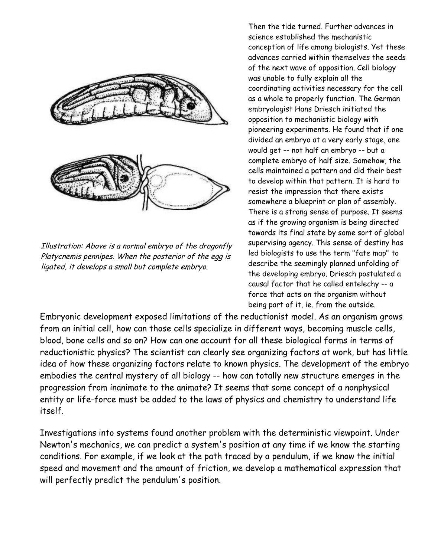

Illustration: Above is a normal embryo of the dragonfly Platycnemis pennipes. When the posterior of the egg is ligated, it develops a small but complete embryo.

Then the tide turned. Further advances in science established the mechanistic conception of life among biologists. Yet these advances carried within themselves the seeds of the next wave of opposition. Cell biology was unable to fully explain all the coordinating activities necessary for the cell as a whole to properly function. The German embryologist Hans Driesch initiated the opposition to mechanistic biology with pioneering experiments. He found that if one divided an embryo at a very early stage, one would get -- not half an embryo -- but a complete embryo of half size. Somehow, the cells maintained a pattern and did their best to develop within that pattern. It is hard to resist the impression that there exists somewhere a blueprint or plan of assembly. There is a strong sense of purpose. It seems as if the growing organism is being directed towards its final state by some sort of global supervising agency. This sense of destiny has led biologists to use the term "fate map" to describe the seemingly planned unfolding of the developing embryo. Driesch postulated a causal factor that he called entelechy -- a force that acts on the organism without being part of it, ie. from the outside.

Embryonic development exposed limitations of the reductionist model. As an organism grows from an initial cell, how can those cells specialize in different ways, becoming muscle cells, blood, bone cells and so on? How can one account for all these biological forms in terms of reductionistic physics? The scientist can clearly see organizing factors at work, but has little idea of how these organizing factors relate to known physics. The development of the embryo embodies the central mystery of all biology -- how can totally new structure emerges in the progression from inanimate to the animate? It seems that some concept of a nonphysical entity or life-force must be added to the laws of physics and chemistry to understand life itself.

Investigations into systems found another problem with the deterministic viewpoint. Under Newton's mechanics, we can predict a system's position at any time if we know the starting conditions. For example, if we look at the path traced by a pendulum, if we know the initial speed and movement and the amount of friction, we develop a mathematical expression that will perfectly predict the pendulum's position.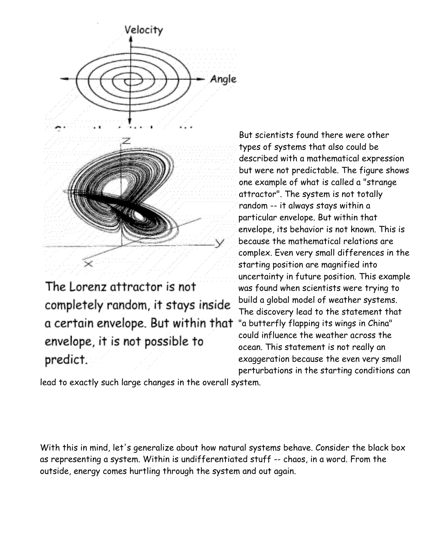

The Lorenz attractor is not completely random, it stays inside a certain envelope. But within that "a butterfly flapping its wings in China" envelope, it is not possible to predict.

But scientists found there were other types of systems that also could be described with a mathematical expression but were not predictable. The figure shows one example of what is called a "strange attractor". The system is not totally random -- it always stays within a particular envelope. But within that envelope, its behavior is not known. This is because the mathematical relations are complex. Even very small differences in the starting position are magnified into uncertainty in future position. This example was found when scientists were trying to build a global model of weather systems. The discovery lead to the statement that could influence the weather across the ocean. This statement is not really an exaggeration because the even very small perturbations in the starting conditions can

lead to exactly such large changes in the overall system.

With this in mind, let's generalize about how natural systems behave. Consider the black box as representing a system. Within is undifferentiated stuff -- chaos, in a word. From the outside, energy comes hurtling through the system and out again.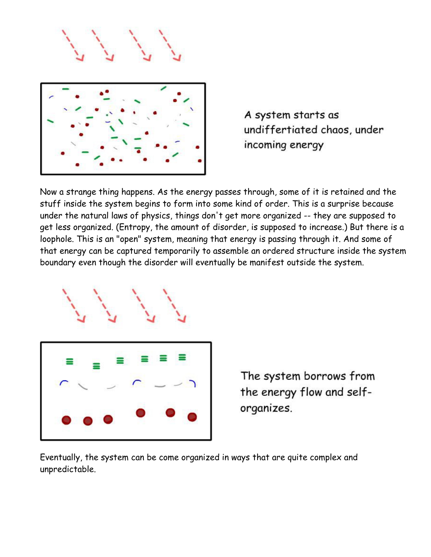

A system starts as undiffertiated chaos, under incoming energy

Now a strange thing happens. As the energy passes through, some of it is retained and the stuff inside the system begins to form into some kind of order. This is a surprise because under the natural laws of physics, things don't get more organized -- they are supposed to get less organized. (Entropy, the amount of disorder, is supposed to increase.) But there is a loophole. This is an "open" system, meaning that energy is passing through it. And some of that energy can be captured temporarily to assemble an ordered structure inside the system boundary even though the disorder will eventually be manifest outside the system.



The system borrows from the energy flow and selforganizes.

Eventually, the system can be come organized in ways that are quite complex and unpredictable.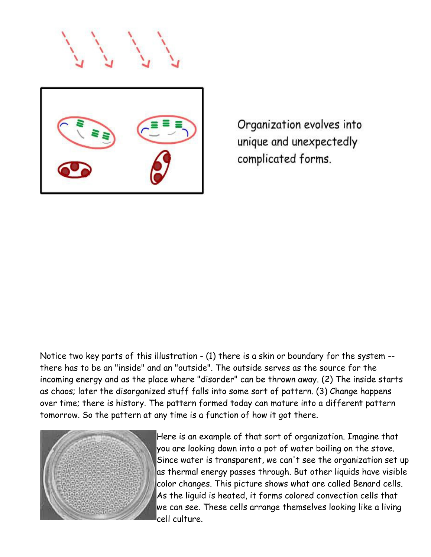

Organization evolves into unique and unexpectedly complicated forms.

Notice two key parts of this illustration - (1) there is a skin or boundary for the system - there has to be an "inside" and an "outside". The outside serves as the source for the incoming energy and as the place where "disorder" can be thrown away. (2) The inside starts as chaos; later the disorganized stuff falls into some sort of pattern. (3) Change happens over time; there is history. The pattern formed today can mature into a different pattern tomorrow. So the pattern at any time is a function of how it got there.



Here is an example of that sort of organization. Imagine that you are looking down into a pot of water boiling on the stove. Since water is transparent, we can't see the organization set up as thermal energy passes through. But other liquids have visible color changes. This picture shows what are called Benard cells. As the liguid is heated, it forms colored convection cells that we can see. These cells arrange themselves looking like a living cell culture.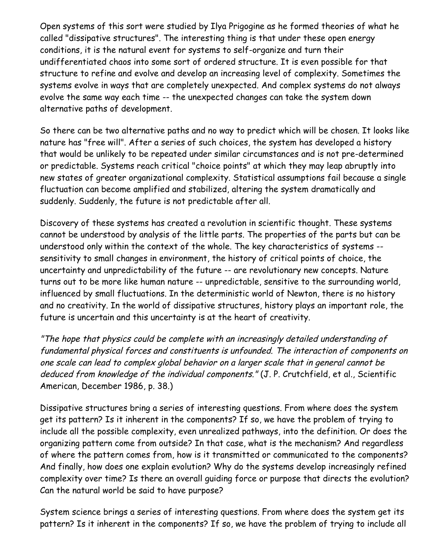Open systems of this sort were studied by Ilya Prigogine as he formed theories of what he called "dissipative structures". The interesting thing is that under these open energy conditions, it is the natural event for systems to self-organize and turn their undifferentiated chaos into some sort of ordered structure. It is even possible for that structure to refine and evolve and develop an increasing level of complexity. Sometimes the systems evolve in ways that are completely unexpected. And complex systems do not always evolve the same way each time -- the unexpected changes can take the system down alternative paths of development.

So there can be two alternative paths and no way to predict which will be chosen. It looks like nature has "free will". After a series of such choices, the system has developed a history that would be unlikely to be repeated under similar circumstances and is not pre-determined or predictable. Systems reach critical "choice points" at which they may leap abruptly into new states of greater organizational complexity. Statistical assumptions fail because a single fluctuation can become amplified and stabilized, altering the system dramatically and suddenly. Suddenly, the future is not predictable after all.

Discovery of these systems has created a revolution in scientific thought. These systems cannot be understood by analysis of the little parts. The properties of the parts but can be understood only within the context of the whole. The key characteristics of systems - sensitivity to small changes in environment, the history of critical points of choice, the uncertainty and unpredictability of the future -- are revolutionary new concepts. Nature turns out to be more like human nature -- unpredictable, sensitive to the surrounding world, influenced by small fluctuations. In the deterministic world of Newton, there is no history and no creativity. In the world of dissipative structures, history plays an important role, the future is uncertain and this uncertainty is at the heart of creativity.

"The hope that physics could be complete with an increasingly detailed understanding of fundamental physical forces and constituents is unfounded. The interaction of components on one scale can lead to complex global behavior on a larger scale that in general cannot be deduced from knowledge of the individual components." (J. P. Crutchfield, et al., Scientific American, December 1986, p. 38.)

Dissipative structures bring a series of interesting questions. From where does the system get its pattern? Is it inherent in the components? If so, we have the problem of trying to include all the possible complexity, even unrealized pathways, into the definition. Or does the organizing pattern come from outside? In that case, what is the mechanism? And regardless of where the pattern comes from, how is it transmitted or communicated to the components? And finally, how does one explain evolution? Why do the systems develop increasingly refined complexity over time? Is there an overall guiding force or purpose that directs the evolution? Can the natural world be said to have purpose?

System science brings a series of interesting questions. From where does the system get its pattern? Is it inherent in the components? If so, we have the problem of trying to include all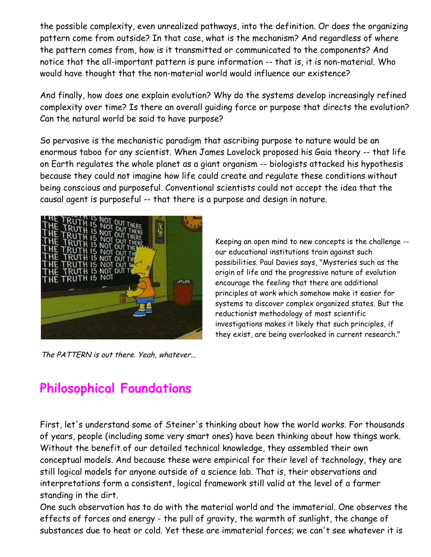the possible complexity, even unrealized pathways, into the definition. Or does the organizing pattern come from outside? In that case, what is the mechanism? And regardless of where the pattern comes from, how is it transmitted or communicated to the components? And notice that the all-important pattern is pure information -- that is, it is non-material. Who would have thought that the non-material world would influence our existence?

And finally, how does one explain evolution? Why do the systems develop increasingly refined complexity over time? Is there an overall guiding force or purpose that directs the evolution? Can the natural world be said to have purpose?

So pervasive is the mechanistic paradigm that ascribing purpose to nature would be an enormous taboo for any scientist. When James Lovelock proposed his Gaia theory -- that life on Earth regulates the whole planet as a giant organism -- biologists attacked his hypothesis because they could not imagine how life could create and regulate these conditions without being conscious and purposeful. Conventional scientists could not accept the idea that the causal agent is purposeful -- that there is a purpose and design in nature.



The PATTERN is out there. Yeah, whatever...

Keeping an open mind to new concepts is the challenge - our educational institutions train against such possibilities. Paul Davies says, "Mysteries such as the origin of life and the progressive nature of evolution encourage the feeling that there are additional principles at work which somehow make it easier for systems to discover complex organized states. But the reductionist methodology of most scientific investigations makes it likely that such principles, if they exist, are being overlooked in current research."

## **Philosophical Foundations**

First, let's understand some of Steiner's thinking about how the world works. For thousands of years, people (including some very smart ones) have been thinking about how things work. Without the benefit of our detailed technical knowledge, they assembled their own conceptual models. And because these were empirical for their level of technology, they are still logical models for anyone outside of a science lab. That is, their observations and interpretations form a consistent, logical framework still valid at the level of a farmer standing in the dirt.

One such observation has to do with the material world and the immaterial. One observes the effects of forces and energy - the pull of gravity, the warmth of sunlight, the change of substances due to heat or cold. Yet these are immaterial forces; we can't see whatever it is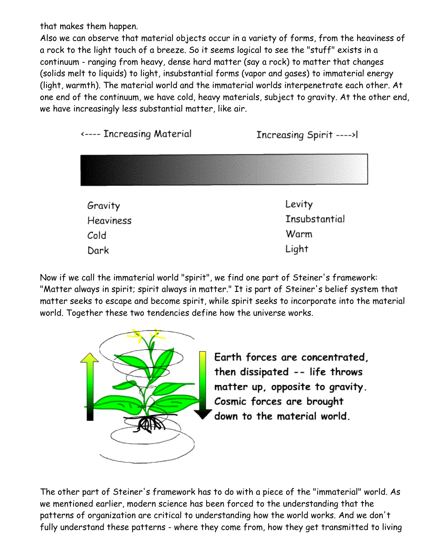that makes them happen.

Also we can observe that material objects occur in a variety of forms, from the heaviness of a rock to the light touch of a breeze. So it seems logical to see the "stuff" exists in a continuum - ranging from heavy, dense hard matter (say a rock) to matter that changes (solids melt to liquids) to light, insubstantial forms (vapor and gases) to immaterial energy (light, warmth). The material world and the immaterial worlds interpenetrate each other. At one end of the continuum, we have cold, heavy materials, subject to gravity. At the other end, we have increasingly less substantial matter, like air.



Now if we call the immaterial world "spirit", we find one part of Steiner's framework: "Matter always in spirit; spirit always in matter." It is part of Steiner's belief system that matter seeks to escape and become spirit, while spirit seeks to incorporate into the material world. Together these two tendencies define how the universe works.



Earth forces are concentrated, then dissipated -- life throws matter up, opposite to gravity. Cosmic forces are brought down to the material world.

The other part of Steiner's framework has to do with a piece of the "immaterial" world. As we mentioned earlier, modern science has been forced to the understanding that the patterns of organization are critical to understanding how the world works. And we don't fully understand these patterns - where they come from, how they get transmitted to living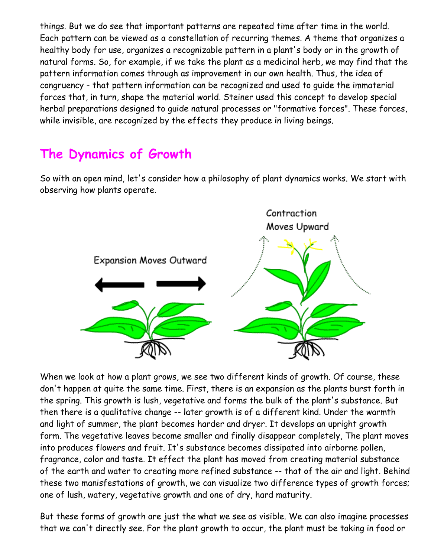things. But we do see that important patterns are repeated time after time in the world. Each pattern can be viewed as a constellation of recurring themes. A theme that organizes a healthy body for use, organizes a recognizable pattern in a plant's body or in the growth of natural forms. So, for example, if we take the plant as a medicinal herb, we may find that the pattern information comes through as improvement in our own health. Thus, the idea of congruency - that pattern information can be recognized and used to guide the immaterial forces that, in turn, shape the material world. Steiner used this concept to develop special herbal preparations designed to guide natural processes or "formative forces". These forces, while invisible, are recognized by the effects they produce in living beings.

### **The Dynamics of Growth**

So with an open mind, let's consider how a philosophy of plant dynamics works. We start with observing how plants operate.



When we look at how a plant grows, we see two different kinds of growth. Of course, these don't happen at quite the same time. First, there is an expansion as the plants burst forth in the spring. This growth is lush, vegetative and forms the bulk of the plant's substance. But then there is a qualitative change -- later growth is of a different kind. Under the warmth and light of summer, the plant becomes harder and dryer. It develops an upright growth form. The vegetative leaves become smaller and finally disappear completely, The plant moves into produces flowers and fruit. It's substance becomes dissipated into airborne pollen, fragrance, color and taste. It effect the plant has moved from creating material substance of the earth and water to creating more refined substance -- that of the air and light. Behind these two manisfestations of growth, we can visualize two difference types of growth forces; one of lush, watery, vegetative growth and one of dry, hard maturity.

But these forms of growth are just the what we see as visible. We can also imagine processes that we can't directly see. For the plant growth to occur, the plant must be taking in food or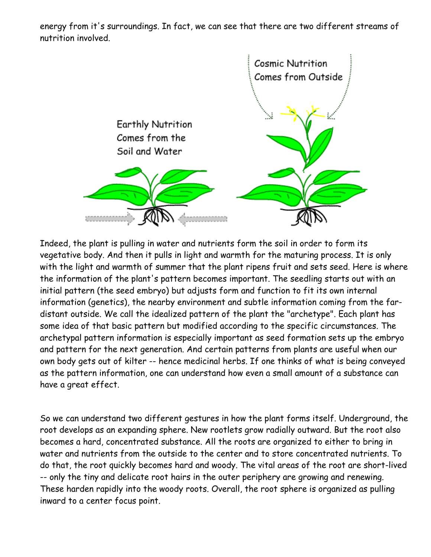energy from it's surroundings. In fact, we can see that there are two different streams of nutrition involved.



Indeed, the plant is pulling in water and nutrients form the soil in order to form its vegetative body. And then it pulls in light and warmth for the maturing process. It is only with the light and warmth of summer that the plant ripens fruit and sets seed. Here is where the information of the plant's pattern becomes important. The seedling starts out with an initial pattern (the seed embryo) but adjusts form and function to fit its own internal information (genetics), the nearby environment and subtle information coming from the fardistant outside. We call the idealized pattern of the plant the "archetype". Each plant has some idea of that basic pattern but modified according to the specific circumstances. The archetypal pattern information is especially important as seed formation sets up the embryo and pattern for the next generation. And certain patterns from plants are useful when our own body gets out of kilter -- hence medicinal herbs. If one thinks of what is being conveyed as the pattern information, one can understand how even a small amount of a substance can have a great effect.

So we can understand two different gestures in how the plant forms itself. Underground, the root develops as an expanding sphere. New rootlets grow radially outward. But the root also becomes a hard, concentrated substance. All the roots are organized to either to bring in water and nutrients from the outside to the center and to store concentrated nutrients. To do that, the root quickly becomes hard and woody. The vital areas of the root are short-lived -- only the tiny and delicate root hairs in the outer periphery are growing and renewing. These harden rapidly into the woody roots. Overall, the root sphere is organized as pulling inward to a center focus point.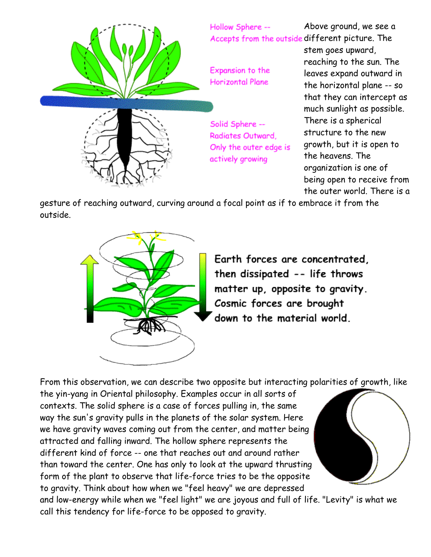

gesture of reaching outward, curving around a focal point as if to embrace it from the outside.



Earth forces are concentrated. then dissipated -- life throws matter up, opposite to gravity. Cosmic forces are brought down to the material world.

From this observation, we can describe two opposite but interacting polarities of growth, like the yin-yang in Oriental philosophy. Examples occur in all sorts of contexts. The solid sphere is a case of forces pulling in, the same way the sun's gravity pulls in the planets of the solar system. Here we have gravity waves coming out from the center, and matter being attracted and falling inward. The hollow sphere represents the different kind of force -- one that reaches out and around rather than toward the center. One has only to look at the upward thrusting form of the plant to observe that life-force tries to be the opposite to gravity. Think about how when we "feel heavy" we are depressed and low-energy while when we "feel light" we are joyous and full of life. "Levity" is what we call this tendency for life-force to be opposed to gravity.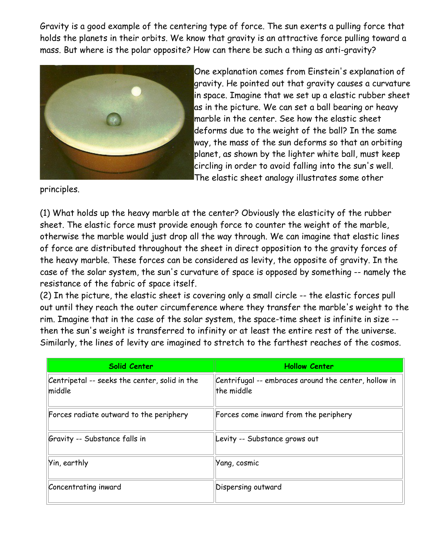Gravity is a good example of the centering type of force. The sun exerts a pulling force that holds the planets in their orbits. We know that gravity is an attractive force pulling toward a mass. But where is the polar opposite? How can there be such a thing as anti-gravity?



One explanation comes from Einstein's explanation of gravity. He pointed out that gravity causes a curvature in space. Imagine that we set up a elastic rubber sheet as in the picture. We can set a ball bearing or heavy marble in the center. See how the elastic sheet deforms due to the weight of the ball? In the same way, the mass of the sun deforms so that an orbiting planet, as shown by the lighter white ball, must keep circling in order to avoid falling into the sun's well. The elastic sheet analogy illustrates some other

principles.

(1) What holds up the heavy marble at the center? Obviously the elasticity of the rubber sheet. The elastic force must provide enough force to counter the weight of the marble, otherwise the marble would just drop all the way through. We can imagine that elastic lines of force are distributed throughout the sheet in direct opposition to the gravity forces of the heavy marble. These forces can be considered as levity, the opposite of gravity. In the case of the solar system, the sun's curvature of space is opposed by something -- namely the resistance of the fabric of space itself.

(2) In the picture, the elastic sheet is covering only a small circle -- the elastic forces pull out until they reach the outer circumference where they transfer the marble's weight to the rim. Imagine that in the case of the solar system, the space-time sheet is infinite in size - then the sun's weight is transferred to infinity or at least the entire rest of the universe. Similarly, the lines of levity are imagined to stretch to the farthest reaches of the cosmos.

| <b>Solid Center</b>                                     | <b>Hollow Center</b>                                               |
|---------------------------------------------------------|--------------------------------------------------------------------|
| Centripetal -- seeks the center, solid in the<br>middle | Centrifugal -- embraces around the center, hollow in<br>the middle |
| Forces radiate outward to the periphery                 | Forces come inward from the periphery                              |
| Gravity -- Substance falls in                           | Levity -- Substance grows out                                      |
| Yin, earthly                                            | Yang, cosmic                                                       |
| Concentrating inward                                    | Dispersing outward                                                 |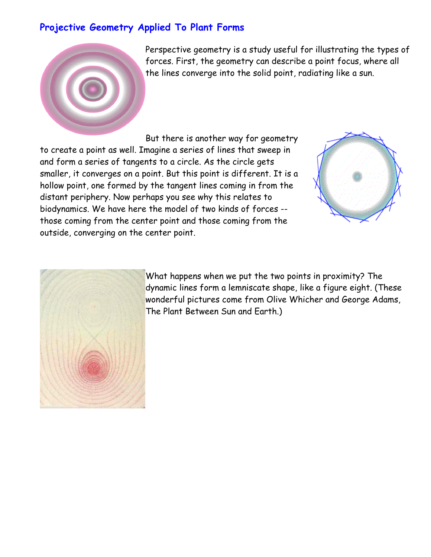#### **Projective Geometry Applied To Plant Forms**



Perspective geometry is a study useful for illustrating the types of forces. First, the geometry can describe a point focus, where all the lines converge into the solid point, radiating like a sun.

But there is another way for geometry to create a point as well. Imagine a series of lines that sweep in and form a series of tangents to a circle. As the circle gets smaller, it converges on a point. But this point is different. It is a hollow point, one formed by the tangent lines coming in from the distant periphery. Now perhaps you see why this relates to biodynamics. We have here the model of two kinds of forces - those coming from the center point and those coming from the outside, converging on the center point.





What happens when we put the two points in proximity? The dynamic lines form a lemniscate shape, like a figure eight. (These wonderful pictures come from Olive Whicher and George Adams, The Plant Between Sun and Earth.)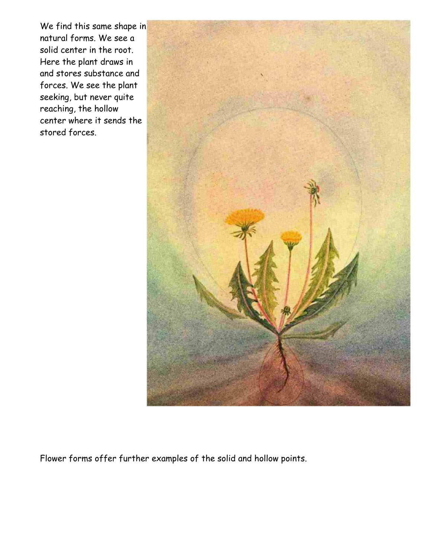We find this same shape in natural forms. We see a solid center in the root. Here the plant draws in and stores substance and forces. We see the plant seeking, but never quite reaching, the hollow center where it sends the stored forces.



Flower forms offer further examples of the solid and hollow points.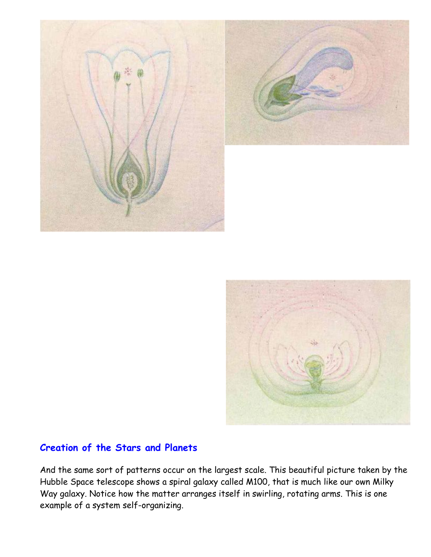





#### **Creation of the Stars and Planets**

And the same sort of patterns occur on the largest scale. This beautiful picture taken by the Hubble Space telescope shows a spiral galaxy called M100, that is much like our own Milky Way galaxy. Notice how the matter arranges itself in swirling, rotating arms. This is one example of a system self-organizing.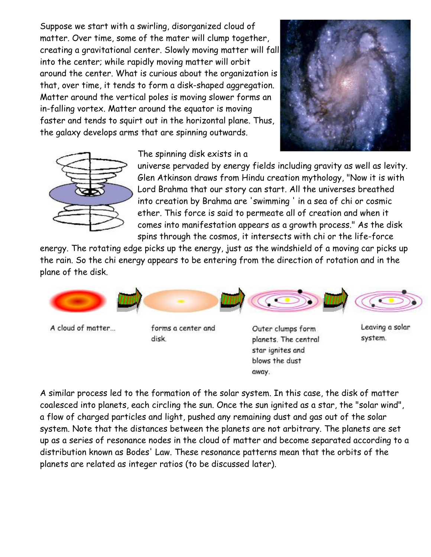Suppose we start with a swirling, disorganized cloud of matter. Over time, some of the mater will clump together, creating a gravitational center. Slowly moving matter will fall into the center; while rapidly moving matter will orbit around the center. What is curious about the organization is that, over time, it tends to form a disk-shaped aggregation. Matter around the vertical poles is moving slower forms an in-falling vortex. Matter around the equator is moving faster and tends to squirt out in the horizontal plane. Thus, the galaxy develops arms that are spinning outwards.





The spinning disk exists in a

universe pervaded by energy fields including gravity as well as levity. Glen Atkinson draws from Hindu creation mythology, "Now it is with Lord Brahma that our story can start. All the universes breathed into creation by Brahma are 'swimming ' in a sea of chi or cosmic ether. This force is said to permeate all of creation and when it comes into manifestation appears as a growth process." As the disk spins through the cosmos, it intersects with chi or the life-force

energy. The rotating edge picks up the energy, just as the windshield of a moving car picks up the rain. So the chi energy appears to be entering from the direction of rotation and in the plane of the disk.



A cloud of matter...

forms a center and disk.

Outer clumps form planets. The central star ignites and blows the dust away.

Leaving a solar system.

A similar process led to the formation of the solar system. In this case, the disk of matter coalesced into planets, each circling the sun. Once the sun ignited as a star, the "solar wind", a flow of charged particles and light, pushed any remaining dust and gas out of the solar system. Note that the distances between the planets are not arbitrary. The planets are set up as a series of resonance nodes in the cloud of matter and become separated according to a distribution known as Bodes' Law. These resonance patterns mean that the orbits of the planets are related as integer ratios (to be discussed later).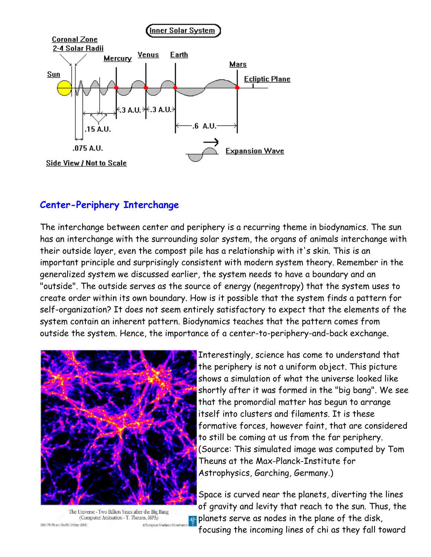

#### **Center-Periphery Interchange**

The interchange between center and periphery is a recurring theme in biodynamics. The sun has an interchange with the surrounding solar system, the organs of animals interchange with their outside layer, even the compost pile has a relationship with it's skin. This is an important principle and surprisingly consistent with modern system theory. Remember in the generalized system we discussed earlier, the system needs to have a boundary and an "outside". The outside serves as the source of energy (negentropy) that the system uses to create order within its own boundary. How is it possible that the system finds a pattern for self-organization? It does not seem entirely satisfactory to expect that the elements of the system contain an inherent pattern. Biodynamics teaches that the pattern comes from outside the system. Hence, the importance of a center-to-periphery-and-back exchange.



The Universe - Two Billion Years after the Big Bang (Computer Animation - T. Theuns, MPA) -es-BSO PR Proto 19a.01 (189/av 2001) .0 Stription Southern Obse

Interestingly, science has come to understand that the periphery is not a uniform object. This picture shows a simulation of what the universe looked like shortly after it was formed in the "big bang". We see that the promordial matter has begun to arrange itself into clusters and filaments. It is these formative forces, however faint, that are considered to still be coming at us from the far periphery. (Source: This simulated image was computed by Tom Theuns at the Max-Planck-Institute for Astrophysics, Garching, Germany.)

Space is curved near the planets, diverting the lines of gravity and levity that reach to the sun. Thus, the planets serve as nodes in the plane of the disk, focusing the incoming lines of chi as they fall toward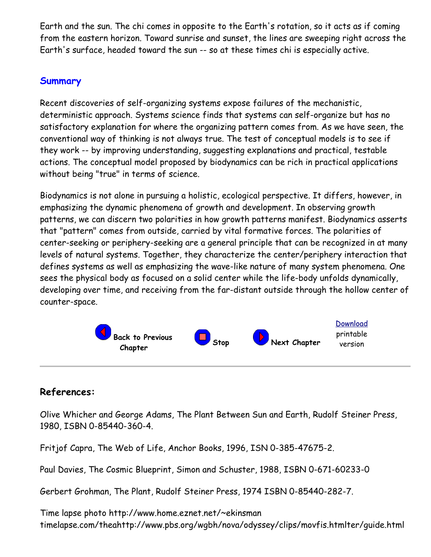Earth and the sun. The chi comes in opposite to the Earth's rotation, so it acts as if coming from the eastern horizon. Toward sunrise and sunset, the lines are sweeping right across the Earth's surface, headed toward the sun -- so at these times chi is especially active.

#### **Summary**

Recent discoveries of self-organizing systems expose failures of the mechanistic, deterministic approach. Systems science finds that systems can self-organize but has no satisfactory explanation for where the organizing pattern comes from. As we have seen, the conventional way of thinking is not always true. The test of conceptual models is to see if they work -- by improving understanding, suggesting explanations and practical, testable actions. The conceptual model proposed by biodynamics can be rich in practical applications without being "true" in terms of science.

Biodynamics is not alone in pursuing a holistic, ecological perspective. It differs, however, in emphasizing the dynamic phenomena of growth and development. In observing growth patterns, we can discern two polarities in how growth patterns manifest. Biodynamics asserts that "pattern" comes from outside, carried by vital formative forces. The polarities of center-seeking or periphery-seeking are a general principle that can be recognized in at many levels of natural systems. Together, they characterize the center/periphery interaction that defines systems as well as emphasizing the wave-like nature of many system phenomena. One sees the physical body as focused on a solid center while the life-body unfolds dynamically, developing over time, and receiving from the far-distant outside through the hollow center of counter-space.



### **References:**

Olive Whicher and George Adams, The Plant Between Sun and Earth, Rudolf Steiner Press, 1980, ISBN 0-85440-360-4.

Fritjof Capra, The Web of Life, Anchor Books, 1996, ISN 0-385-47675-2.

Paul Davies, The Cosmic Blueprint, Simon and Schuster, 1988, ISBN 0-671-60233-0

Gerbert Grohman, The Plant, Rudolf Steiner Press, 1974 ISBN 0-85440-282-7.

Time lapse photo http://www.home.eznet.net/~ekinsman timelapse.com/theahttp://www.pbs.org/wgbh/nova/odyssey/clips/movfis.htmlter/guide.html